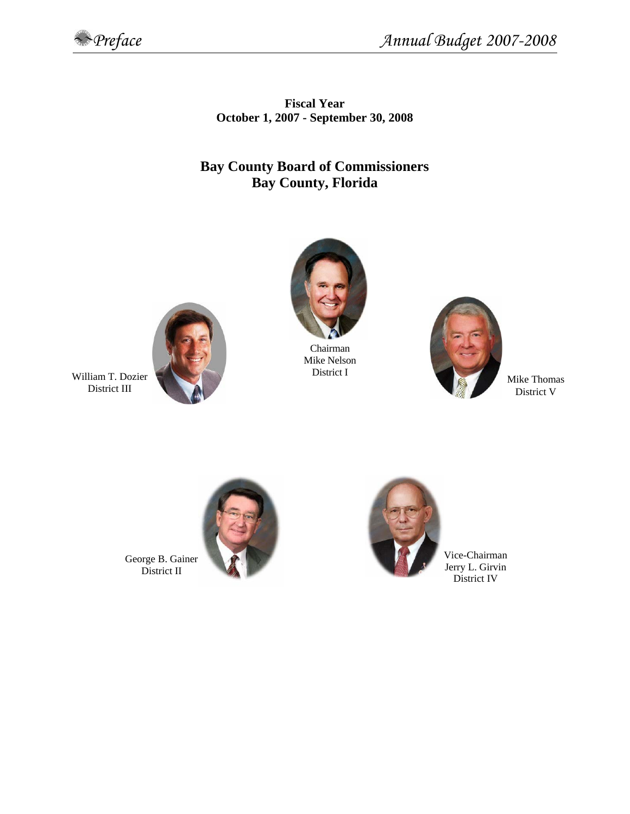

**Fiscal Year October 1, 2007 - September 30, 2008** 

# **Bay County Board of Commissioners Bay County, Florida**



Chairman Mike Nelson District I



Mike Thomas District V



William T. Dozier District III





District I rry L. Girvin V

George B. Gainer District II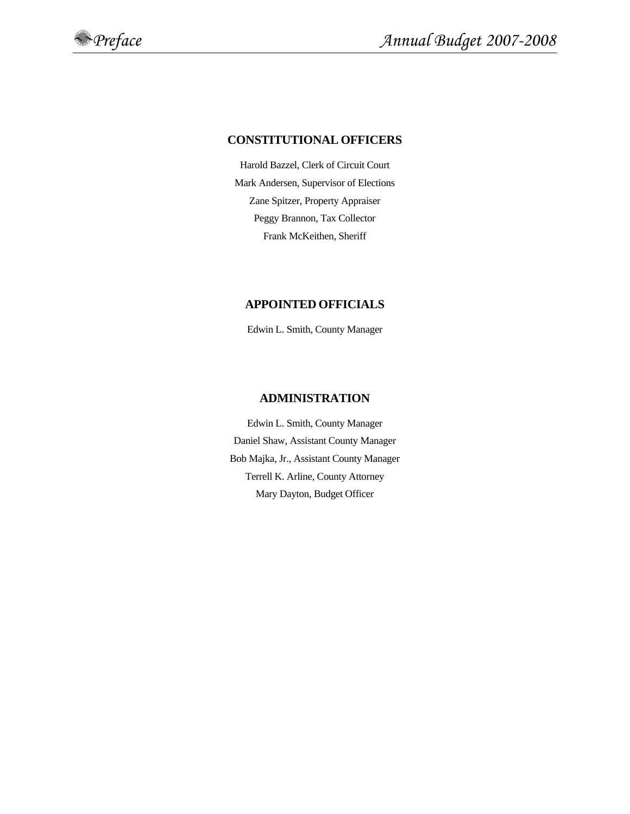#### **CONSTITUTIONAL OFFICERS**

Harold Bazzel, Clerk of Circuit Court Mark Andersen, Supervisor of Elections Zane Spitzer, Property Appraiser Peggy Brannon, Tax Collector Frank McKeithen, Sheriff

#### **APPOINTED OFFICIALS**

Edwin L. Smith, County Manager

## **ADMINISTRATION**

Edwin L. Smith, County Manager Daniel Shaw, Assistant County Manager Bob Majka, Jr., Assistant County Manager Terrell K. Arline, County Attorney Mary Dayton, Budget Officer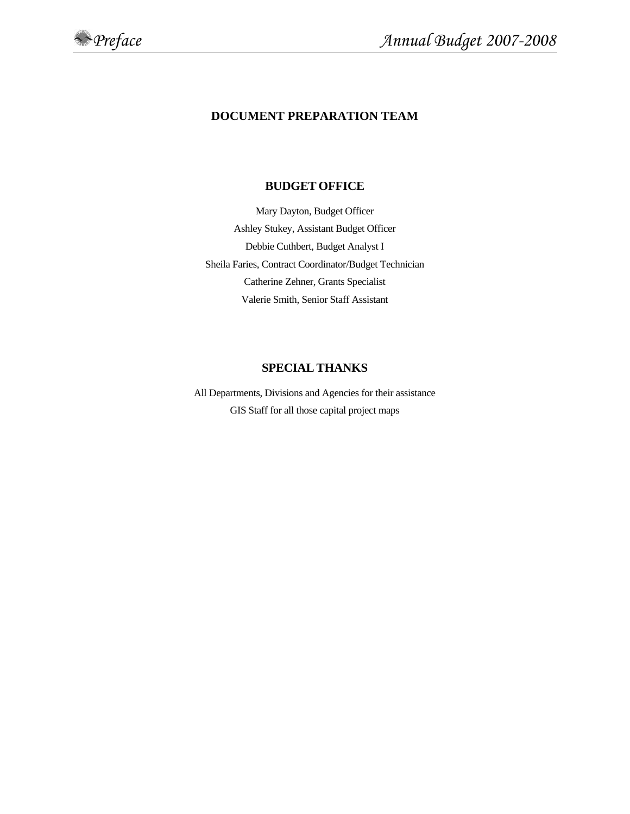

# **DOCUMENT PREPARATION TEAM**

#### **BUDGET OFFICE**

Mary Dayton, Budget Officer Ashley Stukey, Assistant Budget Officer Debbie Cuthbert, Budget Analyst I Sheila Faries, Contract Coordinator/Budget Technician Catherine Zehner, Grants Specialist Valerie Smith, Senior Staff Assistant

## **SPECIAL THANKS**

All Departments, Divisions and Agencies for their assistance GIS Staff for all those capital project maps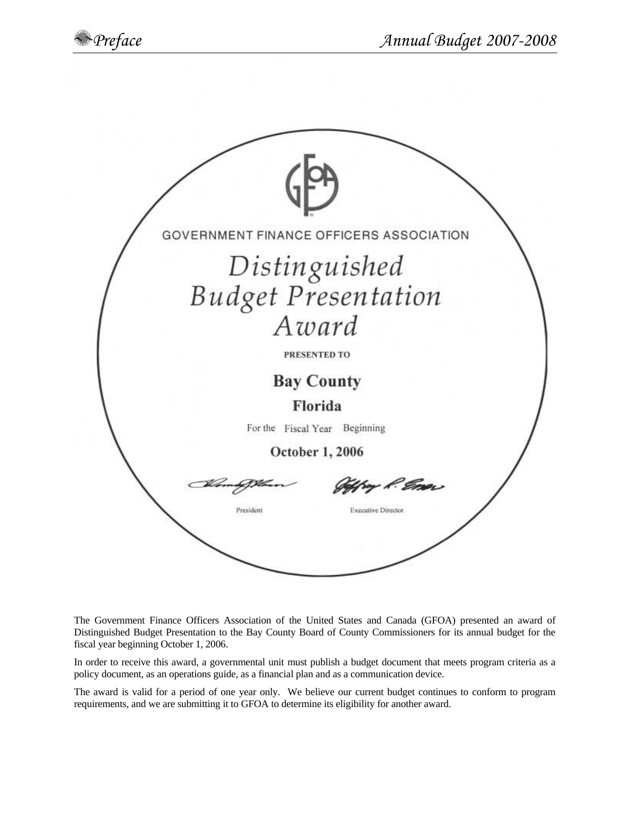

The Government Finance Officers Association of the United States and Canada (GFOA) presented an award of Distinguished Budget Presentation to the Bay County Board of County Commissioners for its annual budget for the fiscal year beginning October 1, 2006.

In order to receive this award, a governmental unit must publish a budget document that meets program criteria as a policy document, as an operations guide, as a financial plan and as a communication device.

The award is valid for a period of one year only. We believe our current budget continues to conform to program requirements, and we are submitting it to GFOA to determine its eligibility for another award.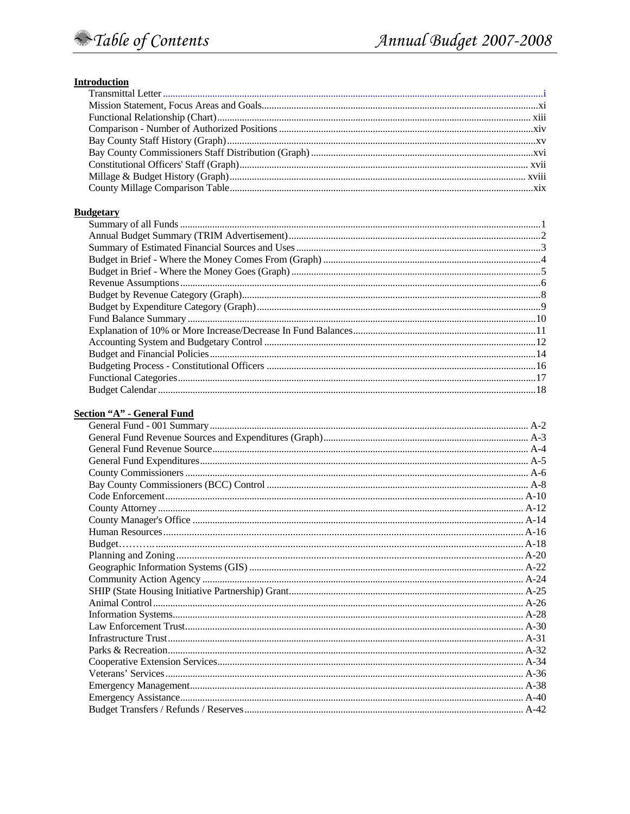#### **Introduction**

#### **Budgetary**

# Section "A" - General Fund

| ocaciai runu |  |
|--------------|--|
|              |  |
|              |  |
|              |  |
|              |  |
|              |  |
|              |  |
|              |  |
|              |  |
|              |  |
|              |  |
|              |  |
|              |  |
|              |  |
|              |  |
|              |  |
|              |  |
|              |  |
|              |  |
|              |  |
|              |  |
|              |  |
|              |  |
|              |  |
|              |  |
|              |  |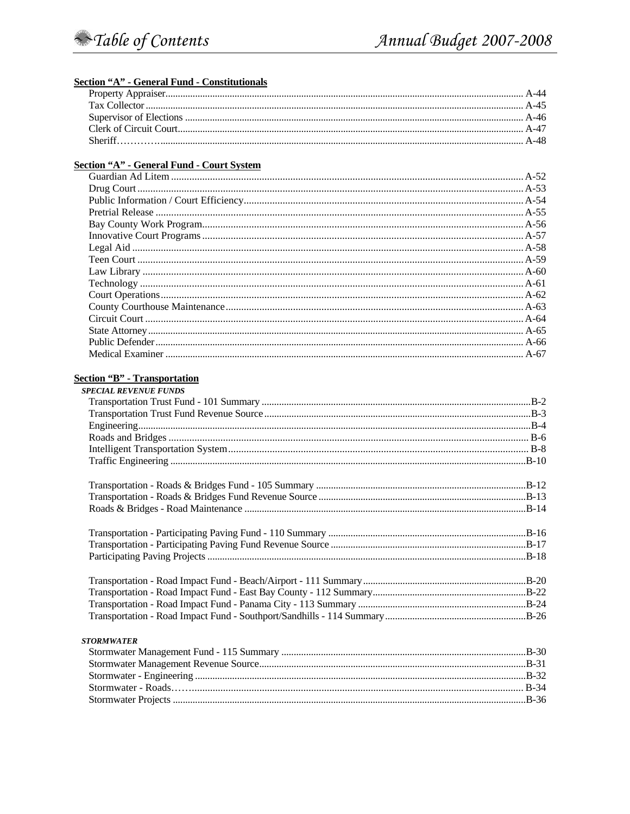#### **Section "A" - General Fund - Constitutionals**

#### **Section "A" - General Fund - Court System**

#### **Section "B" - Transportation**

| <b>SPECIAL REVENUE FUNDS</b> |  |
|------------------------------|--|
|                              |  |
|                              |  |
|                              |  |
|                              |  |
|                              |  |
|                              |  |
|                              |  |
|                              |  |
|                              |  |
|                              |  |
|                              |  |
|                              |  |
|                              |  |
|                              |  |
|                              |  |
|                              |  |
| <b>STORMWATER</b>            |  |
|                              |  |
|                              |  |
|                              |  |
|                              |  |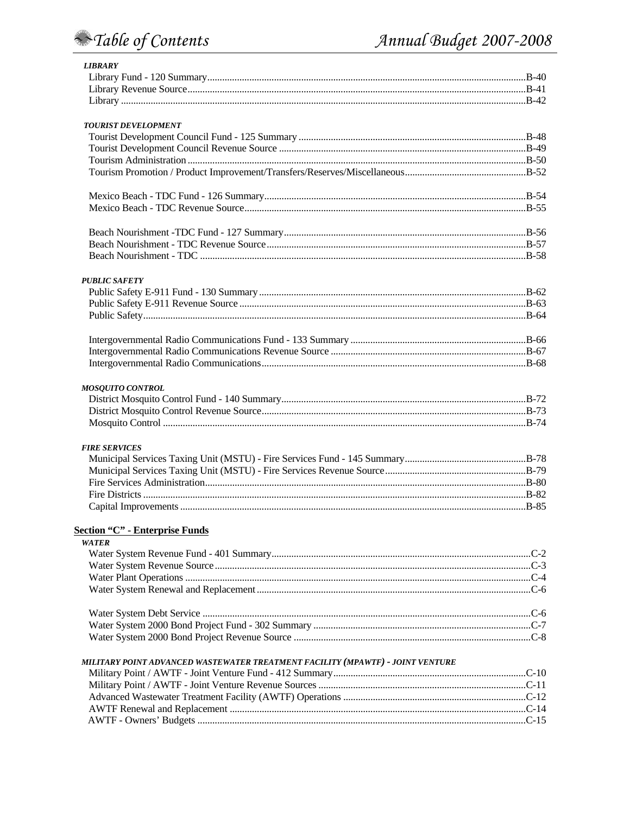# Table of Contents

| <b>LIBRARY</b>                                                                 |  |
|--------------------------------------------------------------------------------|--|
|                                                                                |  |
|                                                                                |  |
|                                                                                |  |
| <b>TOURIST DEVELOPMENT</b>                                                     |  |
|                                                                                |  |
|                                                                                |  |
|                                                                                |  |
|                                                                                |  |
|                                                                                |  |
|                                                                                |  |
|                                                                                |  |
|                                                                                |  |
|                                                                                |  |
| <b>PUBLIC SAFETY</b>                                                           |  |
|                                                                                |  |
|                                                                                |  |
|                                                                                |  |
|                                                                                |  |
|                                                                                |  |
|                                                                                |  |
| <b>MOSQUITO CONTROL</b>                                                        |  |
|                                                                                |  |
|                                                                                |  |
|                                                                                |  |
| <b>FIRE SERVICES</b>                                                           |  |
|                                                                                |  |
|                                                                                |  |
|                                                                                |  |
|                                                                                |  |
|                                                                                |  |
| <b>Section "C" - Enterprise Funds</b>                                          |  |
| <b>WATER</b>                                                                   |  |
|                                                                                |  |
|                                                                                |  |
|                                                                                |  |
|                                                                                |  |
|                                                                                |  |
|                                                                                |  |
|                                                                                |  |
| MILITARY POINT ADVANCED WASTEWATER TREATMENT FACILITY (MPAWTF) - JOINT VENTURE |  |
|                                                                                |  |
|                                                                                |  |
|                                                                                |  |
|                                                                                |  |
|                                                                                |  |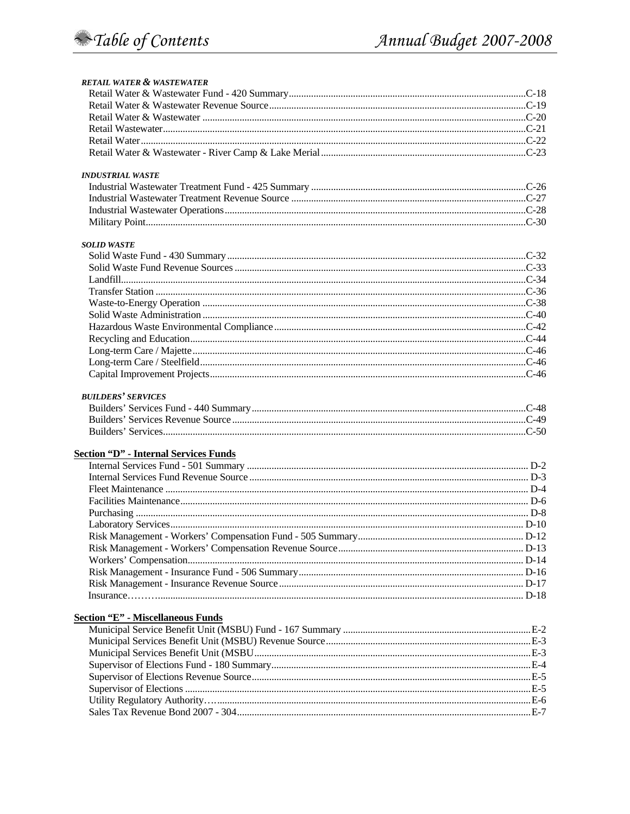| <b>RETAIL WATER &amp; WASTEWATER</b>         |  |
|----------------------------------------------|--|
|                                              |  |
|                                              |  |
|                                              |  |
|                                              |  |
|                                              |  |
|                                              |  |
| <b>INDUSTRIAL WASTE</b>                      |  |
|                                              |  |
|                                              |  |
|                                              |  |
|                                              |  |
| <b>SOLID WASTE</b>                           |  |
|                                              |  |
|                                              |  |
|                                              |  |
|                                              |  |
|                                              |  |
|                                              |  |
|                                              |  |
|                                              |  |
|                                              |  |
|                                              |  |
|                                              |  |
|                                              |  |
| <b>BUILDERS' SERVICES</b>                    |  |
|                                              |  |
|                                              |  |
|                                              |  |
| <b>Section "D" - Internal Services Funds</b> |  |
|                                              |  |
|                                              |  |
|                                              |  |
|                                              |  |
|                                              |  |
|                                              |  |
|                                              |  |
|                                              |  |
|                                              |  |
|                                              |  |
|                                              |  |
|                                              |  |
| <b>Section "E" - Miscellaneous Funds</b>     |  |
|                                              |  |
|                                              |  |
|                                              |  |
|                                              |  |
|                                              |  |
|                                              |  |
|                                              |  |
|                                              |  |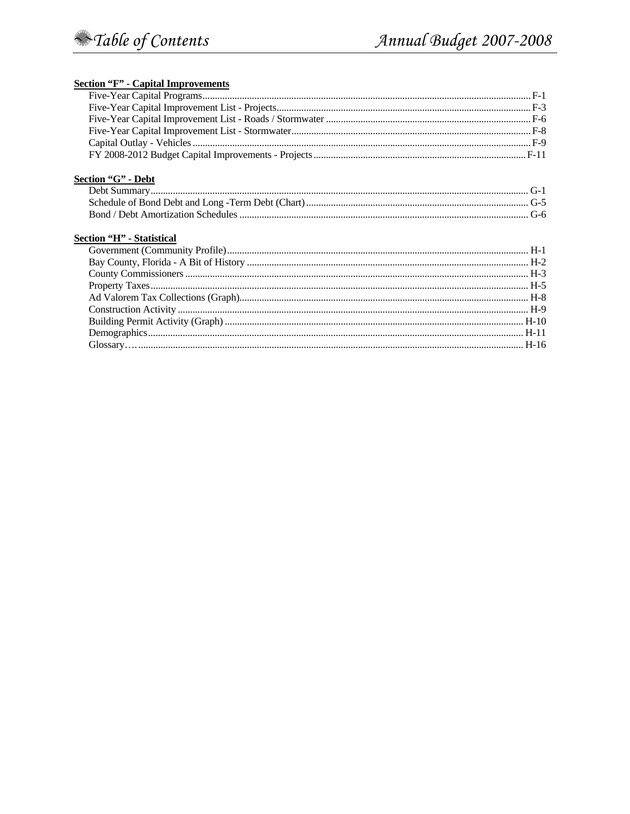# **Section "F" - Capital Improvements**

| Section "G" - Debt        |  |
|---------------------------|--|
|                           |  |
|                           |  |
|                           |  |
| Section "H" - Statistical |  |
|                           |  |
|                           |  |
|                           |  |
|                           |  |
|                           |  |
|                           |  |
|                           |  |
|                           |  |
|                           |  |